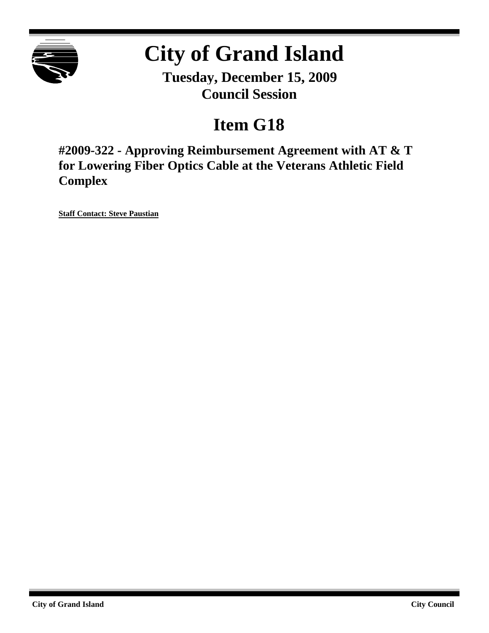

# **City of Grand Island**

**Tuesday, December 15, 2009 Council Session**

# **Item G18**

**#2009-322 - Approving Reimbursement Agreement with AT & T for Lowering Fiber Optics Cable at the Veterans Athletic Field Complex**

**Staff Contact: Steve Paustian**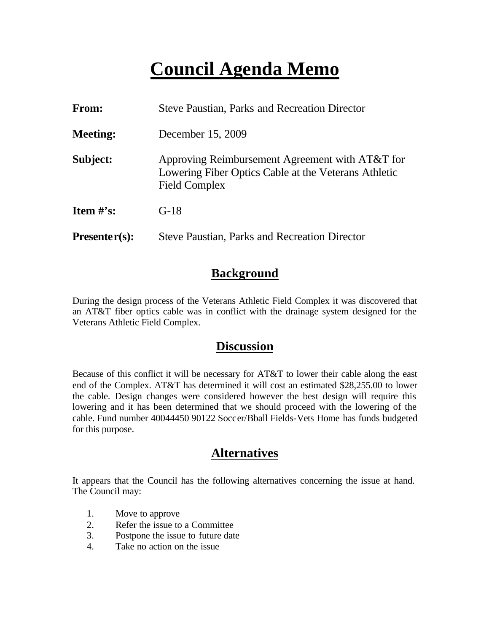# **Council Agenda Memo**

| <b>From:</b>    | <b>Steve Paustian, Parks and Recreation Director</b>                                                                     |  |
|-----------------|--------------------------------------------------------------------------------------------------------------------------|--|
| <b>Meeting:</b> | December 15, 2009                                                                                                        |  |
| Subject:        | Approving Reimbursement Agreement with AT&T for<br>Lowering Fiber Optics Cable at the Veterans Athletic<br>Field Complex |  |
| Item $\#$ 's:   | $G-18$                                                                                                                   |  |
| $Presenter(s):$ | <b>Steve Paustian, Parks and Recreation Director</b>                                                                     |  |

## **Background**

During the design process of the Veterans Athletic Field Complex it was discovered that an AT&T fiber optics cable was in conflict with the drainage system designed for the Veterans Athletic Field Complex.

### **Discussion**

Because of this conflict it will be necessary for AT&T to lower their cable along the east end of the Complex. AT&T has determined it will cost an estimated \$28,255.00 to lower the cable. Design changes were considered however the best design will require this lowering and it has been determined that we should proceed with the lowering of the cable. Fund number 40044450 90122 Soccer/Bball Fields-Vets Home has funds budgeted for this purpose.

## **Alternatives**

It appears that the Council has the following alternatives concerning the issue at hand. The Council may:

- 1. Move to approve
- 2. Refer the issue to a Committee
- 3. Postpone the issue to future date
- 4. Take no action on the issue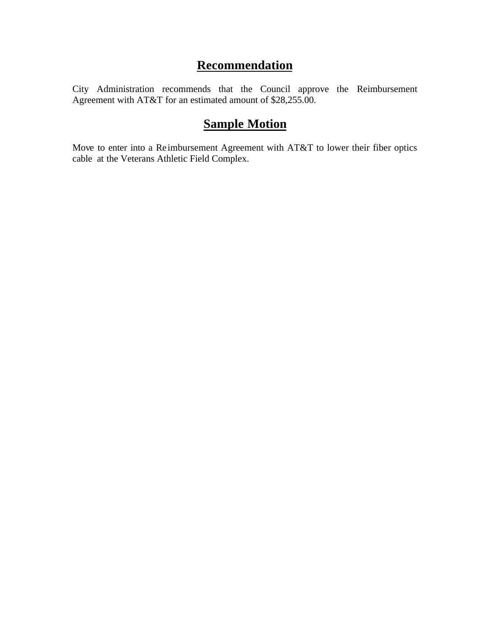# **Recommendation**

City Administration recommends that the Council approve the Reimbursement Agreement with AT&T for an estimated amount of \$28,255.00.

# **Sample Motion**

Move to enter into a Reimbursement Agreement with AT&T to lower their fiber optics cable at the Veterans Athletic Field Complex.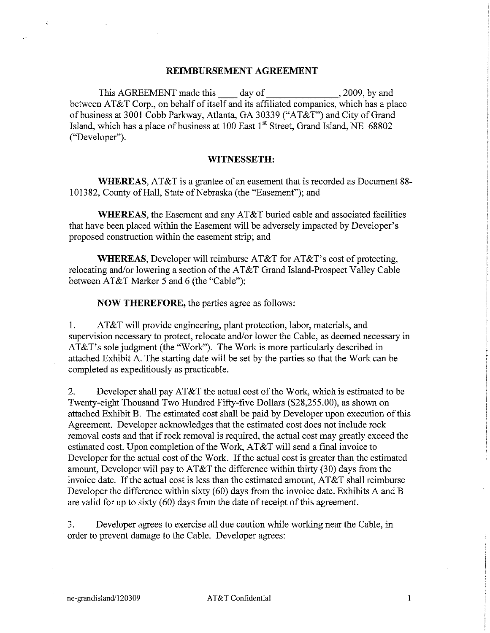#### REIMBURSEMENT AGREEMENT

This AGREEMENT made this day of  $, 2009$ , by and between AT&T Corp., on behalf of itself and its affiliated companies, which has a place of business at 3001 Cobb Parkway, Atlanta, GA 30339 ("AT&T") and City of Grand Island, which has a place of business at 100 East 1<sup>st</sup> Street, Grand Island, NE 68802 ("Developer").

#### WITNESSETH:

**WHEREAS,** AT&T is a grantee of an easement that is recorded as Document 88-101382, County of Hall, State of Nebraska (the "Easement"); and

WHEREAS, the Easement and any AT&T buried cable and associated facilities that have been placed within the Easement will be adversely impacted by Developer's proposed construction within the easement strip; and

**WHEREAS, Developer will reimburse AT&T for AT&T's cost of protecting,** relocating and/or lowering a section of the AT&T Grand Island-Prospect Valley Cable between AT&T Marker 5 and 6 (the "Cable"):

**NOW THEREFORE**, the parties agree as follows:

AT&T will provide engineering, plant protection, labor, materials, and  $1.$ supervision necessary to protect, relocate and/or lower the Cable, as deemed necessary in AT&T's sole judgment (the "Work"). The Work is more particularly described in attached Exhibit A. The starting date will be set by the parties so that the Work can be completed as expeditiously as practicable.

 $\overline{2}$ . Developer shall pay AT&T the actual cost of the Work, which is estimated to be Twenty-eight Thousand Two Hundred Fifty-five Dollars (\$28,255.00), as shown on attached Exhibit B. The estimated cost shall be paid by Developer upon execution of this Agreement. Developer acknowledges that the estimated cost does not include rock removal costs and that if rock removal is required, the actual cost may greatly exceed the estimated cost. Upon completion of the Work, AT&T will send a final invoice to Developer for the actual cost of the Work. If the actual cost is greater than the estimated amount, Developer will pay to  $AT&T$  the difference within thirty (30) days from the invoice date. If the actual cost is less than the estimated amount, AT&T shall reimburse Developer the difference within sixty (60) days from the invoice date. Exhibits A and B are valid for up to sixty (60) days from the date of receipt of this agreement.

3. Developer agrees to exercise all due caution while working near the Cable, in order to prevent damage to the Cable. Developer agrees:

 $\mathbf{1}$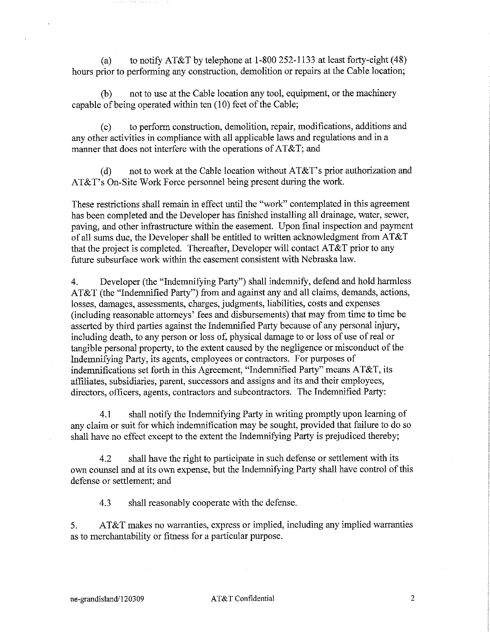to notify AT&T by telephone at  $1-800$  252-1133 at least forty-eight (48)  $(a)$ hours prior to performing any construction, demolition or repairs at the Cable location;

not to use at the Cable location any tool, equipment, or the machinery  $(b)$ capable of being operated within ten (10) feet of the Cable;

to perform construction, demolition, repair, modifications, additions and  $(c)$ any other activities in compliance with all applicable laws and regulations and in a manner that does not interfere with the operations of AT&T; and

not to work at the Cable location without AT&T's prior authorization and  $(d)$ AT&T's On-Site Work Force personnel being present during the work.

These restrictions shall remain in effect until the "work" contemplated in this agreement has been completed and the Developer has finished installing all drainage, water, sewer, paving, and other infrastructure within the easement. Upon final inspection and payment of all sums due, the Developer shall be entitled to written acknowledgment from AT&T that the project is completed. Thereafter, Developer will contact AT&T prior to any future subsurface work within the easement consistent with Nebraska law.

Developer (the "Indemnifying Party") shall indemnify, defend and hold harmless  $4.$ AT&T (the "Indemnified Party") from and against any and all claims, demands, actions, losses, damages, assessments, charges, judgments, liabilities, costs and expenses (including reasonable attorneys' fees and disbursements) that may from time to time be asserted by third parties against the Indemnified Party because of any personal injury, including death, to any person or loss of, physical damage to or loss of use of real or tangible personal property, to the extent caused by the negligence or misconduct of the Indemnifying Party, its agents, employees or contractors. For purposes of indemnifications set forth in this Agreement, "Indemnified Party" means AT&T, its affiliates, subsidiaries, parent, successors and assigns and its and their employees, directors, officers, agents, contractors and subcontractors. The Indemnified Party:

 $4.1$ shall notify the Indemnifying Party in writing promptly upon learning of any claim or suit for which indemnification may be sought, provided that failure to do so shall have no effect except to the extent the Indemnifying Party is prejudiced thereby;

shall have the right to participate in such defense or settlement with its  $42$ own counsel and at its own expense, but the Indemnifying Party shall have control of this defense or settlement; and

 $4.3$ shall reasonably cooperate with the defense.

AT&T makes no warranties, express or implied, including any implied warranties 5. as to merchantability or fitness for a particular purpose.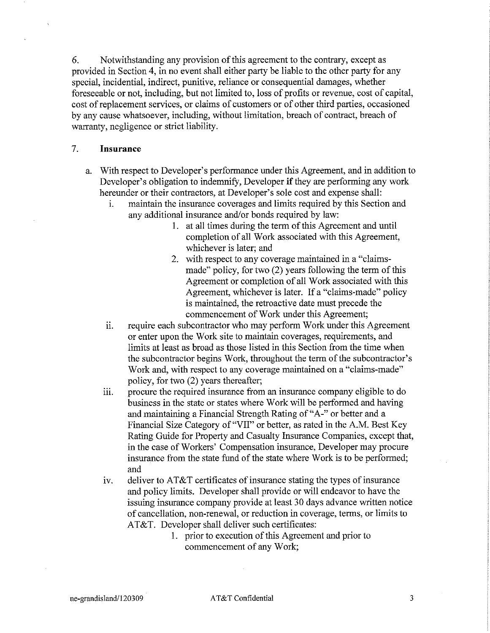6. Notwithstanding any provision of this agreement to the contrary, except as provided in Section 4, in no event shall either party be liable to the other party for any special, incidential, indirect, punitive, reliance or consequential damages, whether foreseeable or not, including, but not limited to, loss of profits or revenue, cost of capital, cost of replacement services, or claims of customers or of other third parties, occasioned by any cause whatsoever, including, without limitation, breach of contract, breach of warranty, negligence or strict liability.

#### $7.$ **Insurance**

- a. With respect to Developer's performance under this Agreement, and in addition to Developer's obligation to indemnify, Developer if they are performing any work hereunder or their contractors, at Developer's sole cost and expense shall:
	- maintain the insurance coverages and limits required by this Section and i. any additional insurance and/or bonds required by law:
		- 1. at all times during the term of this Agreement and until completion of all Work associated with this Agreement, whichever is later; and
		- 2. with respect to any coverage maintained in a "claimsmade" policy, for two (2) years following the term of this Agreement or completion of all Work associated with this Agreement, whichever is later. If a "claims-made" policy is maintained, the retroactive date must precede the commencement of Work under this Agreement;
	- require each subcontractor who may perform Work under this Agreement ii. or enter upon the Work site to maintain coverages, requirements, and limits at least as broad as those listed in this Section from the time when the subcontractor begins Work, throughout the term of the subcontractor's Work and, with respect to any coverage maintained on a "claims-made" policy, for two (2) years thereafter;
	- procure the required insurance from an insurance company eligible to do iii. business in the state or states where Work will be performed and having and maintaining a Financial Strength Rating of "A-" or better and a Financial Size Category of "VII" or better, as rated in the A.M. Best Key Rating Guide for Property and Casualty Insurance Companies, except that, in the case of Workers' Compensation insurance, Developer may procure insurance from the state fund of the state where Work is to be performed; and
	- iv. deliver to AT&T certificates of insurance stating the types of insurance and policy limits. Developer shall provide or will endeavor to have the issuing insurance company provide at least 30 days advance written notice of cancellation, non-renewal, or reduction in coverage, terms, or limits to AT&T. Developer shall deliver such certificates:
		- 1. prior to execution of this Agreement and prior to commencement of any Work:

 $\overline{3}$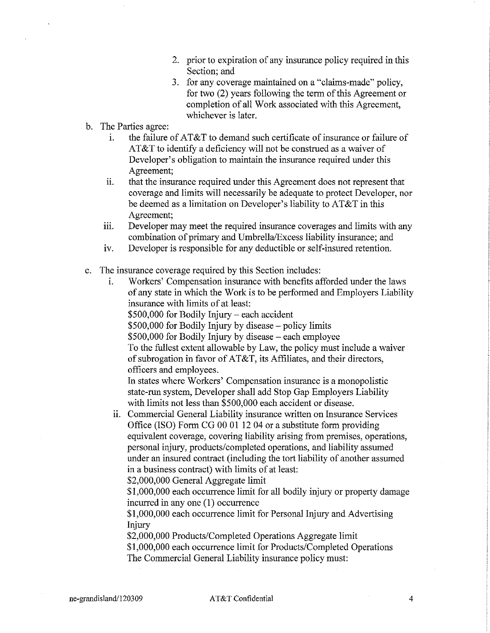- 2. prior to expiration of any insurance policy required in this Section: and
- 3. for any coverage maintained on a "claims-made" policy, for two (2) years following the term of this Agreement or completion of all Work associated with this Agreement, whichever is later.
- b. The Parties agree:
	- the failure of AT&T to demand such certificate of insurance or failure of  $\mathbf{i}$ . AT&T to identify a deficiency will not be construed as a waiver of Developer's obligation to maintain the insurance required under this Agreement;
	- that the insurance required under this Agreement does not represent that ii. coverage and limits will necessarily be adequate to protect Developer, nor be deemed as a limitation on Developer's liability to  $AT&T$  in this Agreement:
	- Developer may meet the required insurance coverages and limits with any iii. combination of primary and Umbrella/Excess liability insurance; and
	- Developer is responsible for any deductible or self-insured retention. iv.
- The insurance coverage required by this Section includes:  $\mathbf{c}$ .
	- Workers' Compensation insurance with benefits afforded under the laws ÷. of any state in which the Work is to be performed and Employers Liability insurance with limits of at least:
		- \$500,000 for Bodily Injury each accident
		- \$500,000 for Bodily Injury by disease policy limits
		- \$500,000 for Bodily Injury by disease each employee

To the fullest extent allowable by Law, the policy must include a waiver of subrogation in favor of AT&T, its Affiliates, and their directors, officers and employees.

In states where Workers' Compensation insurance is a monopolistic state-run system, Developer shall add Stop Gap Employers Liability with limits not less than \$500,000 each accident or disease.

ii. Commercial General Liability insurance written on Insurance Services Office (ISO) Form CG 00 01 12 04 or a substitute form providing equivalent coverage, covering liability arising from premises, operations, personal injury, products/completed operations, and liability assumed under an insured contract (including the tort liability of another assumed in a business contract) with limits of at least:

\$2,000,000 General Aggregate limit

\$1,000,000 each occurrence limit for all bodily injury or property damage incurred in any one (1) occurrence

\$1,000,000 each occurrence limit for Personal Injury and Advertising Injury

\$2,000,000 Products/Completed Operations Aggregate limit

\$1,000,000 each occurrence limit for Products/Completed Operations The Commercial General Liability insurance policy must:

 $\overline{4}$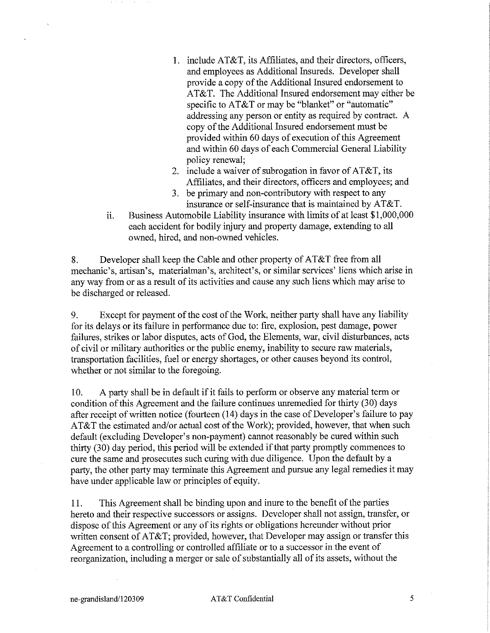- 1. include AT&T, its Affiliates, and their directors, officers, and employees as Additional Insureds. Developer shall provide a copy of the Additional Insured endorsement to  $AT&T$ . The Additional Insured endorsement may either be specific to AT&T or may be "blanket" or "automatic" addressing any person or entity as required by contract. A copy of the Additional Insured endorsement must be provided within 60 days of execution of this Agreement and within 60 days of each Commercial General Liability policy renewal;
- 2. include a waiver of subrogation in favor of AT&T, its Affiliates, and their directors, officers and employees; and
- 3. be primary and non-contributory with respect to any insurance or self-insurance that is maintained by AT&T.
- Business Automobile Liability insurance with limits of at least \$1,000,000 ii. each accident for bodily injury and property damage, extending to all owned, hired, and non-owned vehicles.

Developer shall keep the Cable and other property of AT&T free from all 8. mechanic's, artisan's, materialman's, architect's, or similar services' liens which arise in any way from or as a result of its activities and cause any such liens which may arise to be discharged or released.

Except for payment of the cost of the Work, neither party shall have any liability 9. for its delays or its failure in performance due to: fire, explosion, pest damage, power failures, strikes or labor disputes, acts of God, the Elements, war, civil disturbances, acts of civil or military authorities or the public enemy, inability to secure raw materials, transportation facilities, fuel or energy shortages, or other causes beyond its control, whether or not similar to the foregoing.

A party shall be in default if it fails to perform or observe any material term or 10. condition of this Agreement and the failure continues unremedied for thirty (30) days after receipt of written notice (fourteen (14) days in the case of Developer's failure to pay AT&T the estimated and/or actual cost of the Work); provided, however, that when such default (excluding Developer's non-payment) cannot reasonably be cured within such thirty (30) day period, this period will be extended if that party promptly commences to cure the same and prosecutes such curing with due diligence. Upon the default by a party, the other party may terminate this Agreement and pursue any legal remedies it may have under applicable law or principles of equity.

This Agreement shall be binding upon and inure to the benefit of the parties 11. hereto and their respective successors or assigns. Developer shall not assign, transfer, or dispose of this Agreement or any of its rights or obligations hereunder without prior written consent of AT&T; provided, however, that Developer may assign or transfer this Agreement to a controlling or controlled affiliate or to a successor in the event of reorganization, including a merger or sale of substantially all of its assets, without the

AT&T Confidential

5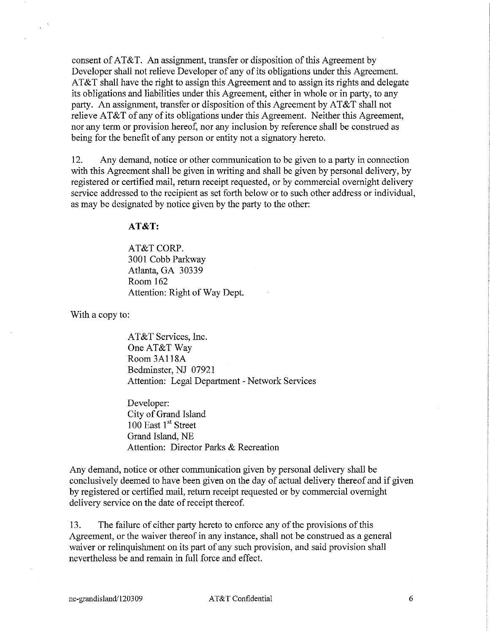consent of AT&T. An assignment, transfer or disposition of this Agreement by Developer shall not relieve Developer of any of its obligations under this Agreement. AT&T shall have the right to assign this Agreement and to assign its rights and delegate its obligations and liabilities under this Agreement, either in whole or in party, to any party. An assignment, transfer or disposition of this Agreement by AT&T shall not relieve AT&T of any of its obligations under this Agreement. Neither this Agreement, nor any term or provision hereof, nor any inclusion by reference shall be construed as being for the benefit of any person or entity not a signatory hereto.

12. Any demand, notice or other communication to be given to a party in connection with this Agreement shall be given in writing and shall be given by personal delivery, by registered or certified mail, return receipt requested, or by commercial overnight delivery service addressed to the recipient as set forth below or to such other address or individual, as may be designated by notice given by the party to the other:

#### $AT&T$ :

AT&T CORP. 3001 Cobb Parkway Atlanta, GA 30339 Room 162 Attention: Right of Way Dept.

With a copy to:

AT&T Services, Inc. One AT&T Way Room 3A118A Bedminster, NJ 07921 Attention: Legal Department - Network Services

Developer: City of Grand Island 100 East 1st Street Grand Island, NE Attention: Director Parks & Recreation

Any demand, notice or other communication given by personal delivery shall be conclusively deemed to have been given on the day of actual delivery thereof and if given by registered or certified mail, return receipt requested or by commercial overnight delivery service on the date of receipt thereof.

13. The failure of either party hereto to enforce any of the provisions of this Agreement, or the waiver thereof in any instance, shall not be construed as a general waiver or relinquishment on its part of any such provision, and said provision shall nevertheless be and remain in full force and effect.

6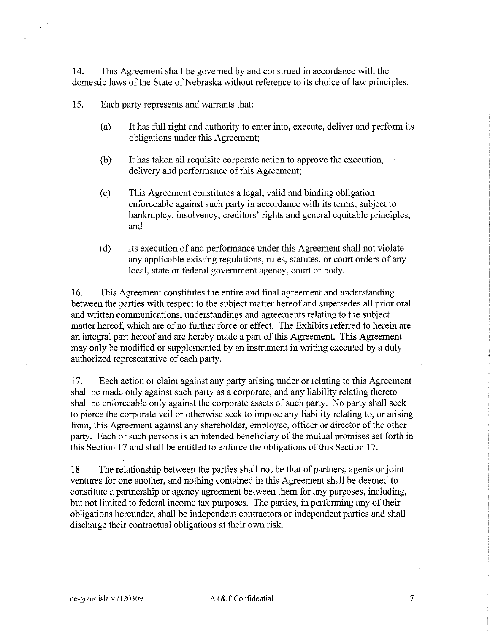14. This Agreement shall be governed by and construed in accordance with the domestic laws of the State of Nebraska without reference to its choice of law principles.

15. Each party represents and warrants that:

- It has full right and authority to enter into, execute, deliver and perform its  $(a)$ obligations under this Agreement;
- It has taken all requisite corporate action to approve the execution,  $(b)$ delivery and performance of this Agreement;
- This Agreement constitutes a legal, valid and binding obligation  $(c)$ enforceable against such party in accordance with its terms, subject to bankruptcy, insolvency, creditors' rights and general equitable principles; and
- $(d)$ Its execution of and performance under this Agreement shall not violate any applicable existing regulations, rules, statutes, or court orders of any local, state or federal government agency, court or body.

 $16.$ This Agreement constitutes the entire and final agreement and understanding between the parties with respect to the subject matter hereof and supersedes all prior oral and written communications, understandings and agreements relating to the subject matter hereof, which are of no further force or effect. The Exhibits referred to herein are an integral part hereof and are hereby made a part of this Agreement. This Agreement may only be modified or supplemented by an instrument in writing executed by a duly authorized representative of each party.

Each action or claim against any party arising under or relating to this Agreement 17. shall be made only against such party as a corporate, and any liability relating thereto shall be enforceable only against the corporate assets of such party. No party shall seek to pierce the corporate veil or otherwise seek to impose any liability relating to, or arising from, this Agreement against any shareholder, employee, officer or director of the other party. Each of such persons is an intended beneficiary of the mutual promises set forth in this Section 17 and shall be entitled to enforce the obligations of this Section 17.

The relationship between the parties shall not be that of partners, agents or joint 18. ventures for one another, and nothing contained in this Agreement shall be deemed to constitute a partnership or agency agreement between them for any purposes, including, but not limited to federal income tax purposes. The parties, in performing any of their obligations hereunder, shall be independent contractors or independent parties and shall discharge their contractual obligations at their own risk.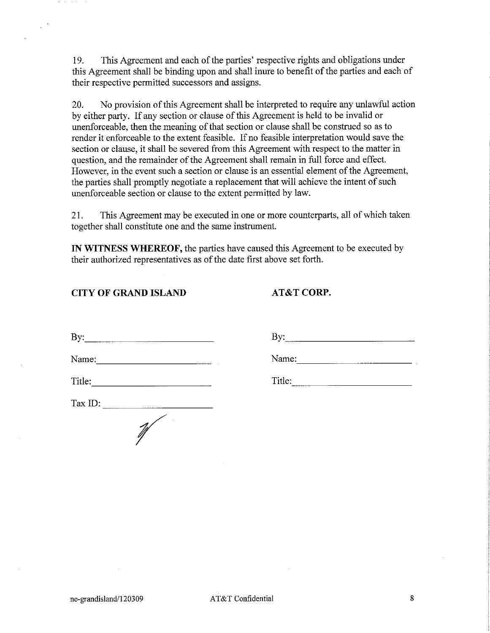19. This Agreement and each of the parties' respective rights and obligations under this Agreement shall be binding upon and shall inure to benefit of the parties and each of their respective permitted successors and assigns.

20. No provision of this Agreement shall be interpreted to require any unlawful action by either party. If any section or clause of this Agreement is held to be invalid or unenforceable, then the meaning of that section or clause shall be construed so as to render it enforceable to the extent feasible. If no feasible interpretation would save the section or clause, it shall be severed from this Agreement with respect to the matter in question, and the remainder of the Agreement shall remain in full force and effect. However, in the event such a section or clause is an essential element of the Agreement, the parties shall promptly negotiate a replacement that will achieve the intent of such unenforceable section or clause to the extent permitted by law.

This Agreement may be executed in one or more counterparts, all of which taken 21. together shall constitute one and the same instrument.

IN WITNESS WHEREOF, the parties have caused this Agreement to be executed by their authorized representatives as of the date first above set forth.

#### **CITY OF GRAND ISLAND**

 $\mathbf{R}$ 

AT&T CORP.

| 20 y .  |  |
|---------|--|
| Name:   |  |
| Title:  |  |
| Tax ID: |  |
|         |  |

Title: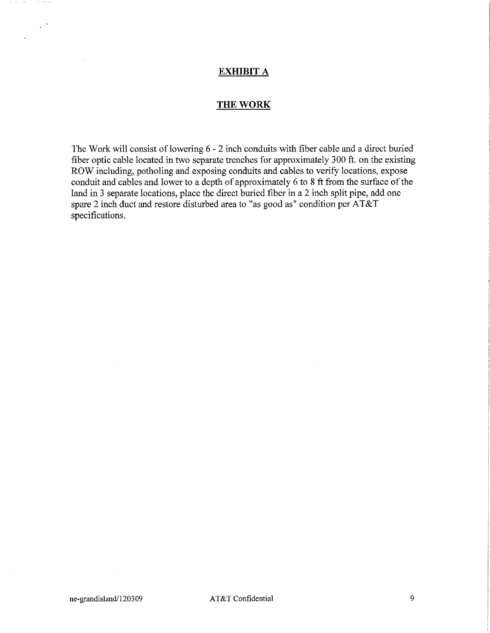#### **EXHIBIT A**

#### **THE WORK**

The Work will consist of lowering 6 - 2 inch conduits with fiber cable and a direct buried fiber optic cable located in two separate trenches for approximately 300 ft. on the existing ROW including, potholing and exposing conduits and cables to verify locations, expose conduit and cables and lower to a depth of approximately 6 to 8 ft from the surface of the land in 3 separate locations, place the direct buried fiber in a 2 inch split pipe, add one spare 2 inch duct and restore disturbed area to "as good as" condition per AT&T specifications.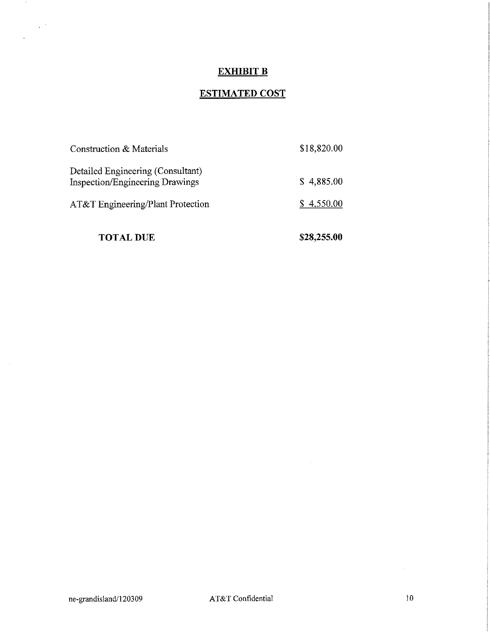### **EXHIBIT B**

## **ESTIMATED COST**

| <b>TOTAL DUE</b>                                                            | \$28,255.00 |
|-----------------------------------------------------------------------------|-------------|
| AT&T Engineering/Plant Protection                                           | \$4,550.00  |
| Detailed Engineering (Consultant)<br><b>Inspection/Engineering Drawings</b> | \$4,885.00  |
| Construction & Materials                                                    | \$18,820.00 |

 $\sim 10^7$ 

 $\sim 10^{-1}$